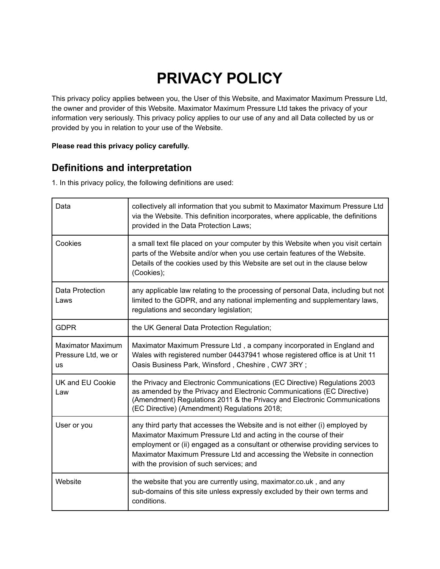# **PRIVACY POLICY**

This privacy policy applies between you, the User of this Website, and Maximator Maximum Pressure Ltd, the owner and provider of this Website. Maximator Maximum Pressure Ltd takes the privacy of your information very seriously. This privacy policy applies to our use of any and all Data collected by us or provided by you in relation to your use of the Website.

#### **Please read this privacy policy carefully.**

#### **Definitions and interpretation**

1. In this privacy policy, the following definitions are used:

| Data                                                         | collectively all information that you submit to Maximator Maximum Pressure Ltd<br>via the Website. This definition incorporates, where applicable, the definitions<br>provided in the Data Protection Laws;                                                                                                                                            |
|--------------------------------------------------------------|--------------------------------------------------------------------------------------------------------------------------------------------------------------------------------------------------------------------------------------------------------------------------------------------------------------------------------------------------------|
| Cookies                                                      | a small text file placed on your computer by this Website when you visit certain<br>parts of the Website and/or when you use certain features of the Website.<br>Details of the cookies used by this Website are set out in the clause below<br>(Cookies);                                                                                             |
| Data Protection<br>Laws                                      | any applicable law relating to the processing of personal Data, including but not<br>limited to the GDPR, and any national implementing and supplementary laws,<br>regulations and secondary legislation;                                                                                                                                              |
| <b>GDPR</b>                                                  | the UK General Data Protection Regulation;                                                                                                                                                                                                                                                                                                             |
| <b>Maximator Maximum</b><br>Pressure Ltd, we or<br><b>us</b> | Maximator Maximum Pressure Ltd, a company incorporated in England and<br>Wales with registered number 04437941 whose registered office is at Unit 11<br>Oasis Business Park, Winsford, Cheshire, CW7 3RY;                                                                                                                                              |
| <b>UK and EU Cookie</b><br>Law                               | the Privacy and Electronic Communications (EC Directive) Regulations 2003<br>as amended by the Privacy and Electronic Communications (EC Directive)<br>(Amendment) Regulations 2011 & the Privacy and Electronic Communications<br>(EC Directive) (Amendment) Regulations 2018;                                                                        |
| User or you                                                  | any third party that accesses the Website and is not either (i) employed by<br>Maximator Maximum Pressure Ltd and acting in the course of their<br>employment or (ii) engaged as a consultant or otherwise providing services to<br>Maximator Maximum Pressure Ltd and accessing the Website in connection<br>with the provision of such services; and |
| Website                                                      | the website that you are currently using, maximator.co.uk, and any<br>sub-domains of this site unless expressly excluded by their own terms and<br>conditions.                                                                                                                                                                                         |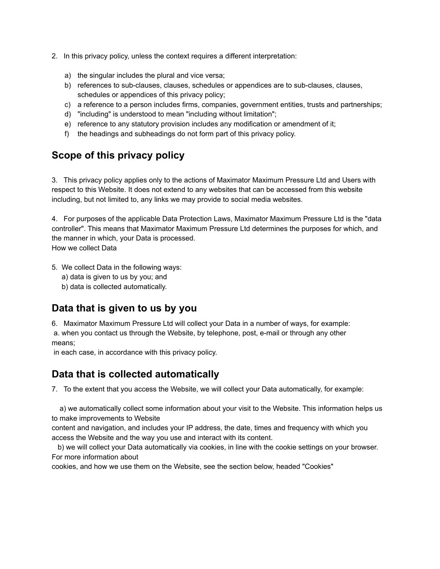- 2. In this privacy policy, unless the context requires a different interpretation:
	- a) the singular includes the plural and vice versa;
	- b) references to sub-clauses, clauses, schedules or appendices are to sub-clauses, clauses, schedules or appendices of this privacy policy;
	- c) a reference to a person includes firms, companies, government entities, trusts and partnerships;
	- d) "including" is understood to mean "including without limitation";
	- e) reference to any statutory provision includes any modification or amendment of it;
	- f) the headings and subheadings do not form part of this privacy policy.

#### **Scope of this privacy policy**

3. This privacy policy applies only to the actions of Maximator Maximum Pressure Ltd and Users with respect to this Website. It does not extend to any websites that can be accessed from this website including, but not limited to, any links we may provide to social media websites.

4. For purposes of the applicable Data Protection Laws, Maximator Maximum Pressure Ltd is the "data controller". This means that Maximator Maximum Pressure Ltd determines the purposes for which, and the manner in which, your Data is processed. How we collect Data

- 5. We collect Data in the following ways:
	- a) data is given to us by you; and
	- b) data is collected automatically.

#### **Data that is given to us by you**

6. Maximator Maximum Pressure Ltd will collect your Data in a number of ways, for example: a. when you contact us through the Website, by telephone, post, e-mail or through any other means;

in each case, in accordance with this privacy policy.

#### **Data that is collected automatically**

7. To the extent that you access the Website, we will collect your Data automatically, for example:

a) we automatically collect some information about your visit to the Website. This information helps us to make improvements to Website

content and navigation, and includes your IP address, the date, times and frequency with which you access the Website and the way you use and interact with its content.

b) we will collect your Data automatically via cookies, in line with the cookie settings on your browser. For more information about

cookies, and how we use them on the Website, see the section below, headed "Cookies"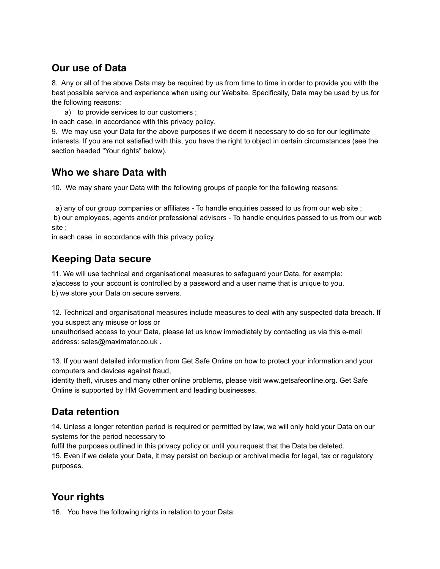#### **Our use of Data**

8. Any or all of the above Data may be required by us from time to time in order to provide you with the best possible service and experience when using our Website. Specifically, Data may be used by us for the following reasons:

a) to provide services to our customers ;

in each case, in accordance with this privacy policy.

9. We may use your Data for the above purposes if we deem it necessary to do so for our legitimate interests. If you are not satisfied with this, you have the right to object in certain circumstances (see the section headed "Your rights" below).

#### **Who we share Data with**

10. We may share your Data with the following groups of people for the following reasons:

a) any of our group companies or affiliates - To handle enquiries passed to us from our web site ;

b) our employees, agents and/or professional advisors - To handle enquiries passed to us from our web site ;

in each case, in accordance with this privacy policy.

#### **Keeping Data secure**

11. We will use technical and organisational measures to safeguard your Data, for example: a)access to your account is controlled by a password and a user name that is unique to you. b) we store your Data on secure servers.

12. Technical and organisational measures include measures to deal with any suspected data breach. If you suspect any misuse or loss or

unauthorised access to your Data, please let us know immediately by contacting us via this e-mail address: sales@maximator.co.uk .

13. If you want detailed information from Get Safe Online on how to protect your information and your computers and devices against fraud,

identity theft, viruses and many other online problems, please visit www.getsafeonline.org. Get Safe Online is supported by HM Government and leading businesses.

# **Data retention**

14. Unless a longer retention period is required or permitted by law, we will only hold your Data on our systems for the period necessary to

fulfil the purposes outlined in this privacy policy or until you request that the Data be deleted. 15. Even if we delete your Data, it may persist on backup or archival media for legal, tax or regulatory purposes.

# **Your rights**

16. You have the following rights in relation to your Data: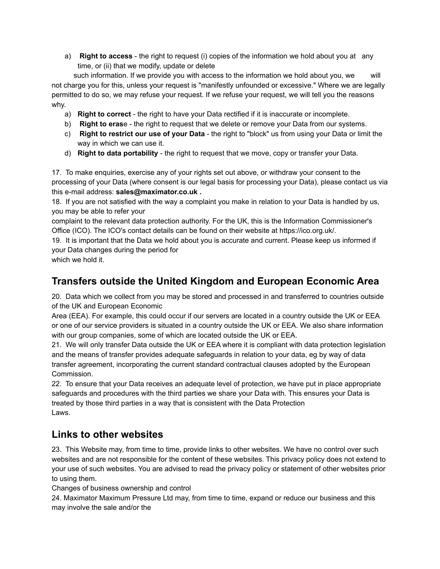a) **Right to access** - the right to request (i) copies of the information we hold about you at any time, or (ii) that we modify, update or delete

such information. If we provide you with access to the information we hold about you, we will not charge you for this, unless your request is "manifestly unfounded or excessive." Where we are legally permitted to do so, we may refuse your request. If we refuse your request, we will tell you the reasons why.

- a) **Right to correct** the right to have your Data rectified if it is inaccurate or incomplete.
- b) **Right to eras**e the right to request that we delete or remove your Data from our systems.
- c) **Right to restrict our use of your Data** the right to "block" us from using your Data or limit the way in which we can use it.
- d) **Right to data portability** the right to request that we move, copy or transfer your Data.

17. To make enquiries, exercise any of your rights set out above, or withdraw your consent to the processing of your Data (where consent is our legal basis for processing your Data), please contact us via this e-mail address: **sales@maximator.co.uk .**

18. If you are not satisfied with the way a complaint you make in relation to your Data is handled by us, you may be able to refer your

complaint to the relevant data protection authority. For the UK, this is the Information Commissioner's Office (ICO). The ICO's contact details can be found on their website at https://ico.org.uk/.

19. It is important that the Data we hold about you is accurate and current. Please keep us informed if your Data changes during the period for

which we hold it.

### **Transfers outside the United Kingdom and European Economic Area**

20. Data which we collect from you may be stored and processed in and transferred to countries outside of the UK and European Economic

Area (EEA). For example, this could occur if our servers are located in a country outside the UK or EEA or one of our service providers is situated in a country outside the UK or EEA. We also share information with our group companies, some of which are located outside the UK or EEA.

21. We will only transfer Data outside the UK or EEA where it is compliant with data protection legislation and the means of transfer provides adequate safeguards in relation to your data, eg by way of data transfer agreement, incorporating the current standard contractual clauses adopted by the European Commission.

22. To ensure that your Data receives an adequate level of protection, we have put in place appropriate safeguards and procedures with the third parties we share your Data with. This ensures your Data is treated by those third parties in a way that is consistent with the Data Protection Laws.

#### **Links to other websites**

23. This Website may, from time to time, provide links to other websites. We have no control over such websites and are not responsible for the content of these websites. This privacy policy does not extend to your use of such websites. You are advised to read the privacy policy or statement of other websites prior to using them.

Changes of business ownership and control

24. Maximator Maximum Pressure Ltd may, from time to time, expand or reduce our business and this may involve the sale and/or the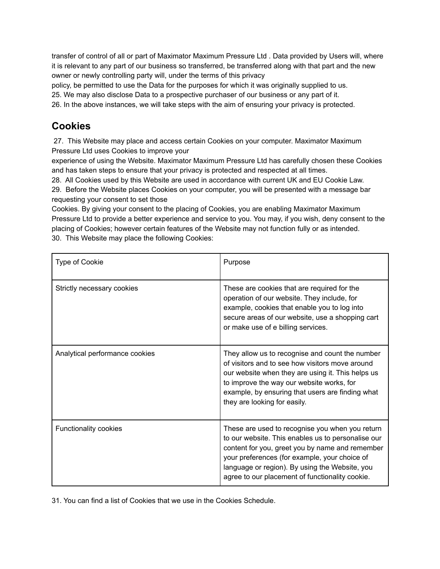transfer of control of all or part of Maximator Maximum Pressure Ltd . Data provided by Users will, where it is relevant to any part of our business so transferred, be transferred along with that part and the new owner or newly controlling party will, under the terms of this privacy

policy, be permitted to use the Data for the purposes for which it was originally supplied to us.

25. We may also disclose Data to a prospective purchaser of our business or any part of it.

26. In the above instances, we will take steps with the aim of ensuring your privacy is protected.

#### **Cookies**

27. This Website may place and access certain Cookies on your computer. Maximator Maximum Pressure Ltd uses Cookies to improve your

experience of using the Website. Maximator Maximum Pressure Ltd has carefully chosen these Cookies and has taken steps to ensure that your privacy is protected and respected at all times.

28. All Cookies used by this Website are used in accordance with current UK and EU Cookie Law.

29. Before the Website places Cookies on your computer, you will be presented with a message bar requesting your consent to set those

Cookies. By giving your consent to the placing of Cookies, you are enabling Maximator Maximum Pressure Ltd to provide a better experience and service to you. You may, if you wish, deny consent to the placing of Cookies; however certain features of the Website may not function fully or as intended. 30. This Website may place the following Cookies:

| <b>Type of Cookie</b>          | Purpose                                                                                                                                                                                                                                                                                                        |
|--------------------------------|----------------------------------------------------------------------------------------------------------------------------------------------------------------------------------------------------------------------------------------------------------------------------------------------------------------|
| Strictly necessary cookies     | These are cookies that are required for the<br>operation of our website. They include, for<br>example, cookies that enable you to log into<br>secure areas of our website, use a shopping cart<br>or make use of e billing services.                                                                           |
| Analytical performance cookies | They allow us to recognise and count the number<br>of visitors and to see how visitors move around<br>our website when they are using it. This helps us<br>to improve the way our website works, for<br>example, by ensuring that users are finding what<br>they are looking for easily.                       |
| Functionality cookies          | These are used to recognise you when you return<br>to our website. This enables us to personalise our<br>content for you, greet you by name and remember<br>your preferences (for example, your choice of<br>language or region). By using the Website, you<br>agree to our placement of functionality cookie. |

31. You can find a list of Cookies that we use in the Cookies Schedule.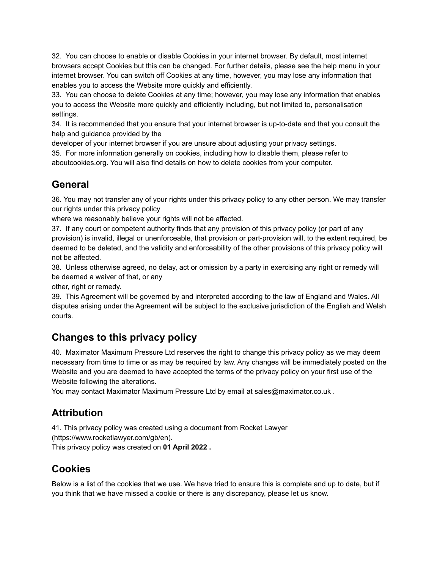32. You can choose to enable or disable Cookies in your internet browser. By default, most internet browsers accept Cookies but this can be changed. For further details, please see the help menu in your internet browser. You can switch off Cookies at any time, however, you may lose any information that enables you to access the Website more quickly and efficiently.

33. You can choose to delete Cookies at any time; however, you may lose any information that enables you to access the Website more quickly and efficiently including, but not limited to, personalisation settings.

34. It is recommended that you ensure that your internet browser is up-to-date and that you consult the help and guidance provided by the

developer of your internet browser if you are unsure about adjusting your privacy settings.

35. For more information generally on cookies, including how to disable them, please refer to aboutcookies.org. You will also find details on how to delete cookies from your computer.

#### **General**

36. You may not transfer any of your rights under this privacy policy to any other person. We may transfer our rights under this privacy policy

where we reasonably believe your rights will not be affected.

37. If any court or competent authority finds that any provision of this privacy policy (or part of any provision) is invalid, illegal or unenforceable, that provision or part-provision will, to the extent required, be deemed to be deleted, and the validity and enforceability of the other provisions of this privacy policy will not be affected.

38. Unless otherwise agreed, no delay, act or omission by a party in exercising any right or remedy will be deemed a waiver of that, or any

other, right or remedy.

39. This Agreement will be governed by and interpreted according to the law of England and Wales. All disputes arising under the Agreement will be subject to the exclusive jurisdiction of the English and Welsh courts.

# **Changes to this privacy policy**

40. Maximator Maximum Pressure Ltd reserves the right to change this privacy policy as we may deem necessary from time to time or as may be required by law. Any changes will be immediately posted on the Website and you are deemed to have accepted the terms of the privacy policy on your first use of the Website following the alterations.

You may contact Maximator Maximum Pressure Ltd by email at sales@maximator.co.uk .

#### **Attribution**

41. This privacy policy was created using a document from Rocket Lawyer (https://www.rocketlawyer.com/gb/en).

This privacy policy was created on **01 April 2022 .**

# **Cookies**

Below is a list of the cookies that we use. We have tried to ensure this is complete and up to date, but if you think that we have missed a cookie or there is any discrepancy, please let us know.